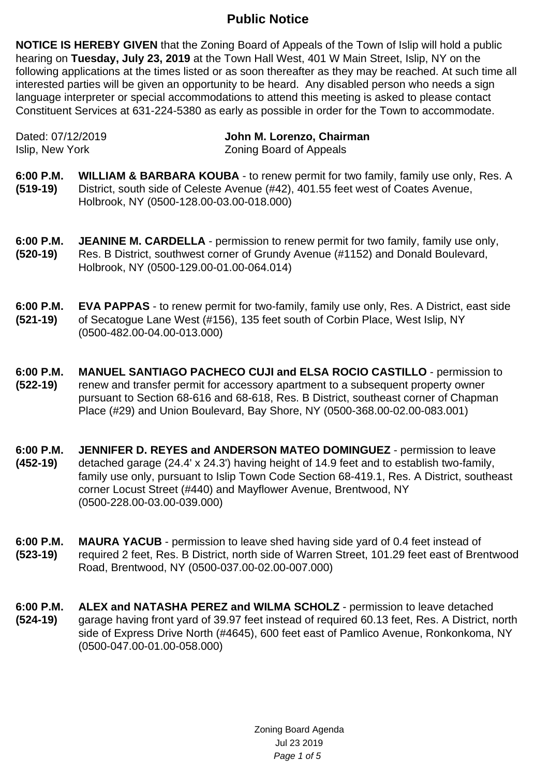## **Public Notice**

**NOTICE IS HEREBY GIVEN** that the Zoning Board of Appeals of the Town of Islip will hold a public hearing on **Tuesday, July 23, 2019** at the Town Hall West, 401 W Main Street, Islip, NY on the following applications at the times listed or as soon thereafter as they may be reached. At such time all interested parties will be given an opportunity to be heard. Any disabled person who needs a sign language interpreter or special accommodations to attend this meeting is asked to please contact Constituent Services at 631-224-5380 as early as possible in order for the Town to accommodate.

Dated: 07/12/2019 **John M. Lorenzo, Chairman** Islip, New York **Zoning Board of Appeals** 

- **6:00 P.M. (519-19) WILLIAM & BARBARA KOUBA** - to renew permit for two family, family use only, Res. A District, south side of Celeste Avenue (#42), 401.55 feet west of Coates Avenue, Holbrook, NY (0500-128.00-03.00-018.000)
- **6:00 P.M. (520-19) JEANINE M. CARDELLA** - permission to renew permit for two family, family use only, Res. B District, southwest corner of Grundy Avenue (#1152) and Donald Boulevard, Holbrook, NY (0500-129.00-01.00-064.014)
- **6:00 P.M. (521-19) EVA PAPPAS** - to renew permit for two-family, family use only, Res. A District, east side of Secatogue Lane West (#156), 135 feet south of Corbin Place, West Islip, NY (0500-482.00-04.00-013.000)
- **6:00 P.M. (522-19) MANUEL SANTIAGO PACHECO CUJI and ELSA ROCIO CASTILLO** - permission to renew and transfer permit for accessory apartment to a subsequent property owner pursuant to Section 68-616 and 68-618, Res. B District, southeast corner of Chapman Place (#29) and Union Boulevard, Bay Shore, NY (0500-368.00-02.00-083.001)
- **6:00 P.M. (452-19) JENNIFER D. REYES and ANDERSON MATEO DOMINGUEZ** - permission to leave detached garage (24.4' x 24.3') having height of 14.9 feet and to establish two-family, family use only, pursuant to Islip Town Code Section 68-419.1, Res. A District, southeast corner Locust Street (#440) and Mayflower Avenue, Brentwood, NY (0500-228.00-03.00-039.000)
- **6:00 P.M. (523-19) MAURA YACUB** - permission to leave shed having side yard of 0.4 feet instead of required 2 feet, Res. B District, north side of Warren Street, 101.29 feet east of Brentwood Road, Brentwood, NY (0500-037.00-02.00-007.000)
- **6:00 P.M. (524-19) ALEX and NATASHA PEREZ and WILMA SCHOLZ** - permission to leave detached garage having front yard of 39.97 feet instead of required 60.13 feet, Res. A District, north side of Express Drive North (#4645), 600 feet east of Pamlico Avenue, Ronkonkoma, NY (0500-047.00-01.00-058.000)

Zoning Board Agenda Jul 23 2019 Page 1 of 5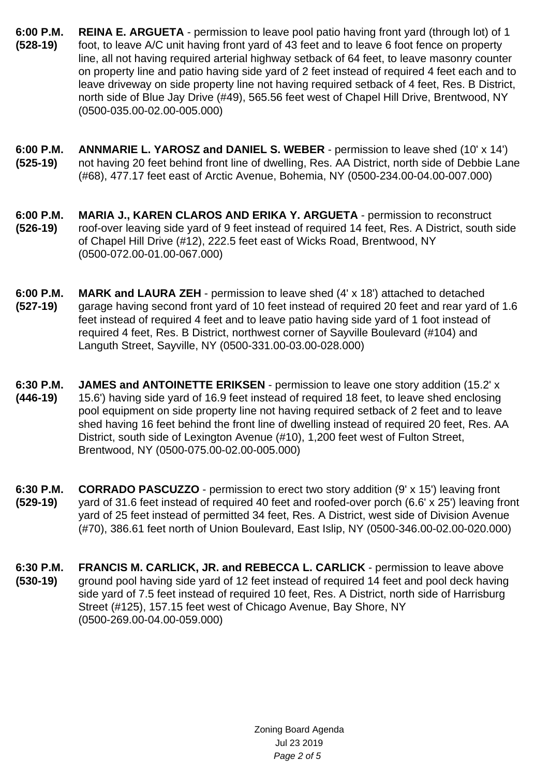- **6:00 P.M. (528-19) REINA E. ARGUETA** - permission to leave pool patio having front yard (through lot) of 1 foot, to leave A/C unit having front yard of 43 feet and to leave 6 foot fence on property line, all not having required arterial highway setback of 64 feet, to leave masonry counter on property line and patio having side yard of 2 feet instead of required 4 feet each and to leave driveway on side property line not having required setback of 4 feet, Res. B District, north side of Blue Jay Drive (#49), 565.56 feet west of Chapel Hill Drive, Brentwood, NY (0500-035.00-02.00-005.000)
- **6:00 P.M. (525-19) ANNMARIE L. YAROSZ and DANIEL S. WEBER** - permission to leave shed (10' x 14') not having 20 feet behind front line of dwelling, Res. AA District, north side of Debbie Lane (#68), 477.17 feet east of Arctic Avenue, Bohemia, NY (0500-234.00-04.00-007.000)
- **6:00 P.M. (526-19) MARIA J., KAREN CLAROS AND ERIKA Y. ARGUETA** - permission to reconstruct roof-over leaving side yard of 9 feet instead of required 14 feet, Res. A District, south side of Chapel Hill Drive (#12), 222.5 feet east of Wicks Road, Brentwood, NY (0500-072.00-01.00-067.000)
- **6:00 P.M. (527-19) MARK and LAURA ZEH** - permission to leave shed (4' x 18') attached to detached garage having second front yard of 10 feet instead of required 20 feet and rear yard of 1.6 feet instead of required 4 feet and to leave patio having side yard of 1 foot instead of required 4 feet, Res. B District, northwest corner of Sayville Boulevard (#104) and Languth Street, Sayville, NY (0500-331.00-03.00-028.000)
- **6:30 P.M. (446-19) JAMES and ANTOINETTE ERIKSEN** - permission to leave one story addition (15.2' x 15.6') having side yard of 16.9 feet instead of required 18 feet, to leave shed enclosing pool equipment on side property line not having required setback of 2 feet and to leave shed having 16 feet behind the front line of dwelling instead of required 20 feet, Res. AA District, south side of Lexington Avenue (#10), 1,200 feet west of Fulton Street, Brentwood, NY (0500-075.00-02.00-005.000)
- **6:30 P.M. (529-19) CORRADO PASCUZZO** - permission to erect two story addition (9' x 15') leaving front yard of 31.6 feet instead of required 40 feet and roofed-over porch (6.6' x 25') leaving front yard of 25 feet instead of permitted 34 feet, Res. A District, west side of Division Avenue (#70), 386.61 feet north of Union Boulevard, East Islip, NY (0500-346.00-02.00-020.000)
- **6:30 P.M. (530-19) FRANCIS M. CARLICK, JR. and REBECCA L. CARLICK** - permission to leave above ground pool having side yard of 12 feet instead of required 14 feet and pool deck having side yard of 7.5 feet instead of required 10 feet, Res. A District, north side of Harrisburg Street (#125), 157.15 feet west of Chicago Avenue, Bay Shore, NY (0500-269.00-04.00-059.000)

Zoning Board Agenda Jul 23 2019 Page 2 of 5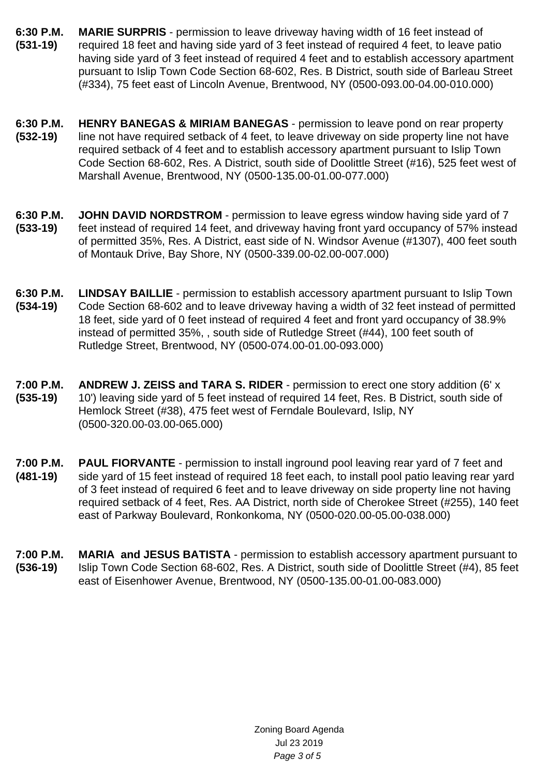- **6:30 P.M. (531-19) MARIE SURPRIS** - permission to leave driveway having width of 16 feet instead of required 18 feet and having side yard of 3 feet instead of required 4 feet, to leave patio having side yard of 3 feet instead of required 4 feet and to establish accessory apartment pursuant to Islip Town Code Section 68-602, Res. B District, south side of Barleau Street (#334), 75 feet east of Lincoln Avenue, Brentwood, NY (0500-093.00-04.00-010.000)
- **6:30 P.M. (532-19) HENRY BANEGAS & MIRIAM BANEGAS** - permission to leave pond on rear property line not have required setback of 4 feet, to leave driveway on side property line not have required setback of 4 feet and to establish accessory apartment pursuant to Islip Town Code Section 68-602, Res. A District, south side of Doolittle Street (#16), 525 feet west of Marshall Avenue, Brentwood, NY (0500-135.00-01.00-077.000)
- **6:30 P.M. (533-19) JOHN DAVID NORDSTROM** - permission to leave egress window having side yard of 7 feet instead of required 14 feet, and driveway having front yard occupancy of 57% instead of permitted 35%, Res. A District, east side of N. Windsor Avenue (#1307), 400 feet south of Montauk Drive, Bay Shore, NY (0500-339.00-02.00-007.000)
- **6:30 P.M. (534-19) LINDSAY BAILLIE** - permission to establish accessory apartment pursuant to Islip Town Code Section 68-602 and to leave driveway having a width of 32 feet instead of permitted 18 feet, side yard of 0 feet instead of required 4 feet and front yard occupancy of 38.9% instead of permitted 35%, , south side of Rutledge Street (#44), 100 feet south of Rutledge Street, Brentwood, NY (0500-074.00-01.00-093.000)
- **7:00 P.M. (535-19) ANDREW J. ZEISS and TARA S. RIDER** - permission to erect one story addition (6' x 10') leaving side yard of 5 feet instead of required 14 feet, Res. B District, south side of Hemlock Street (#38), 475 feet west of Ferndale Boulevard, Islip, NY (0500-320.00-03.00-065.000)
- **7:00 P.M. (481-19) PAUL FIORVANTE** - permission to install inground pool leaving rear yard of 7 feet and side yard of 15 feet instead of required 18 feet each, to install pool patio leaving rear yard of 3 feet instead of required 6 feet and to leave driveway on side property line not having required setback of 4 feet, Res. AA District, north side of Cherokee Street (#255), 140 feet east of Parkway Boulevard, Ronkonkoma, NY (0500-020.00-05.00-038.000)
- **7:00 P.M. (536-19) MARIA and JESUS BATISTA** - permission to establish accessory apartment pursuant to Islip Town Code Section 68-602, Res. A District, south side of Doolittle Street (#4), 85 feet east of Eisenhower Avenue, Brentwood, NY (0500-135.00-01.00-083.000)

Zoning Board Agenda Jul 23 2019 Page 3 of 5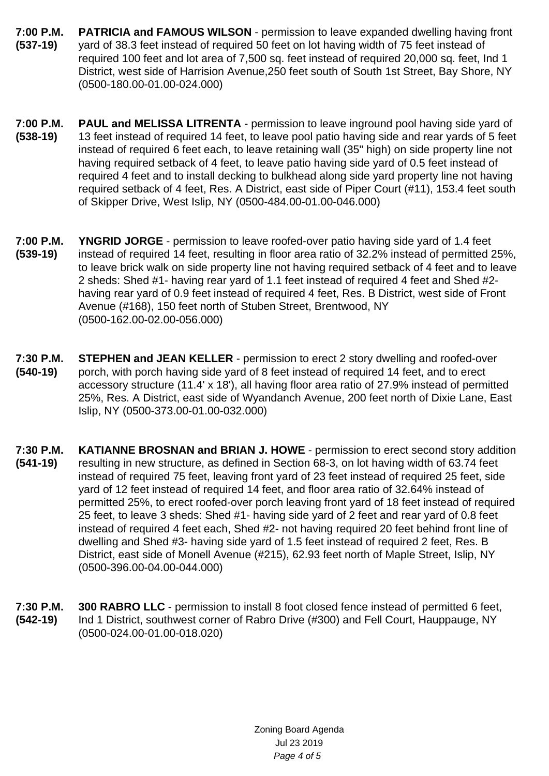- **7:00 P.M. (537-19) PATRICIA and FAMOUS WILSON** - permission to leave expanded dwelling having front yard of 38.3 feet instead of required 50 feet on lot having width of 75 feet instead of required 100 feet and lot area of 7,500 sq. feet instead of required 20,000 sq. feet, Ind 1 District, west side of Harrision Avenue,250 feet south of South 1st Street, Bay Shore, NY (0500-180.00-01.00-024.000)
- **7:00 P.M. (538-19) PAUL and MELISSA LITRENTA** - permission to leave inground pool having side yard of 13 feet instead of required 14 feet, to leave pool patio having side and rear yards of 5 feet instead of required 6 feet each, to leave retaining wall (35" high) on side property line not having required setback of 4 feet, to leave patio having side yard of 0.5 feet instead of required 4 feet and to install decking to bulkhead along side yard property line not having required setback of 4 feet, Res. A District, east side of Piper Court (#11), 153.4 feet south of Skipper Drive, West Islip, NY (0500-484.00-01.00-046.000)
- **7:00 P.M. (539-19) YNGRID JORGE** - permission to leave roofed-over patio having side yard of 1.4 feet instead of required 14 feet, resulting in floor area ratio of 32.2% instead of permitted 25%, to leave brick walk on side property line not having required setback of 4 feet and to leave 2 sheds: Shed #1- having rear yard of 1.1 feet instead of required 4 feet and Shed #2 having rear yard of 0.9 feet instead of required 4 feet, Res. B District, west side of Front Avenue (#168), 150 feet north of Stuben Street, Brentwood, NY (0500-162.00-02.00-056.000)
- **7:30 P.M. (540-19) STEPHEN and JEAN KELLER** - permission to erect 2 story dwelling and roofed-over porch, with porch having side yard of 8 feet instead of required 14 feet, and to erect accessory structure (11.4' x 18'), all having floor area ratio of 27.9% instead of permitted 25%, Res. A District, east side of Wyandanch Avenue, 200 feet north of Dixie Lane, East Islip, NY (0500-373.00-01.00-032.000)
- **7:30 P.M. (541-19) KATIANNE BROSNAN and BRIAN J. HOWE** - permission to erect second story addition resulting in new structure, as defined in Section 68-3, on lot having width of 63.74 feet instead of required 75 feet, leaving front yard of 23 feet instead of required 25 feet, side yard of 12 feet instead of required 14 feet, and floor area ratio of 32.64% instead of permitted 25%, to erect roofed-over porch leaving front yard of 18 feet instead of required 25 feet, to leave 3 sheds: Shed #1- having side yard of 2 feet and rear yard of 0.8 feet instead of required 4 feet each, Shed #2- not having required 20 feet behind front line of dwelling and Shed #3- having side yard of 1.5 feet instead of required 2 feet, Res. B District, east side of Monell Avenue (#215), 62.93 feet north of Maple Street, Islip, NY (0500-396.00-04.00-044.000)
- **7:30 P.M. (542-19) 300 RABRO LLC** - permission to install 8 foot closed fence instead of permitted 6 feet, Ind 1 District, southwest corner of Rabro Drive (#300) and Fell Court, Hauppauge, NY (0500-024.00-01.00-018.020)

Zoning Board Agenda Jul 23 2019 Page 4 of 5